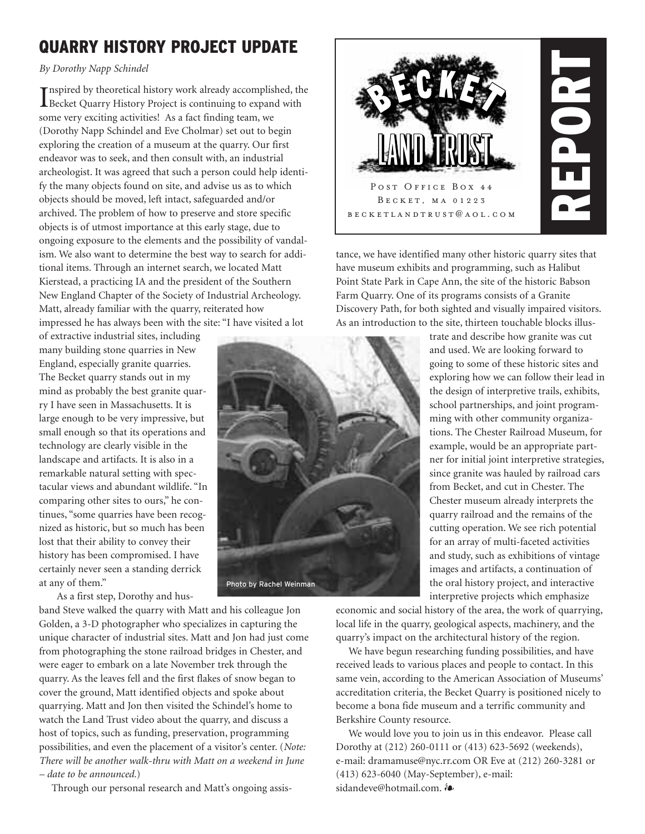# **QUARRY HISTORY PROJECT UPDATE**

*By Dorothy Napp Schindel*

I Becket Quarry History Project is continuing to expand with nspired by theoretical history work already accomplished, the some very exciting activities! As a fact finding team, we (Dorothy Napp Schindel and Eve Cholmar) set out to begin exploring the creation of a museum at the quarry. Our first endeavor was to seek, and then consult with, an industrial archeologist. It was agreed that such a person could help identify the many objects found on site, and advise us as to which objects should be moved, left intact, safeguarded and/or archived. The problem of how to preserve and store specific objects is of utmost importance at this early stage, due to ongoing exposure to the elements and the possibility of vandalism. We also want to determine the best way to search for additional items. Through an internet search, we located Matt Kierstead, a practicing IA and the president of the Southern New England Chapter of the Society of Industrial Archeology. Matt, already familiar with the quarry, reiterated how impressed he has always been with the site: "I have visited a lot

of extractive industrial sites, including many building stone quarries in New England, especially granite quarries. The Becket quarry stands out in my mind as probably the best granite quarry I have seen in Massachusetts. It is large enough to be very impressive, but small enough so that its operations and technology are clearly visible in the landscape and artifacts. It is also in a remarkable natural setting with spectacular views and abundant wildlife. "In comparing other sites to ours," he continues, "some quarries have been recognized as historic, but so much has been lost that their ability to convey their history has been compromised. I have certainly never seen a standing derrick at any of them."

As a first step, Dorothy and hus-

band Steve walked the quarry with Matt and his colleague Jon Golden, a 3-D photographer who specializes in capturing the unique character of industrial sites. Matt and Jon had just come from photographing the stone railroad bridges in Chester, and were eager to embark on a late November trek through the quarry. As the leaves fell and the first flakes of snow began to cover the ground, Matt identified objects and spoke about quarrying. Matt and Jon then visited the Schindel's home to watch the Land Trust video about the quarry, and discuss a host of topics, such as funding, preservation, programming possibilities, and even the placement of a visitor's center. (*Note: There will be another walk-thru with Matt on a weekend in June – date to be announced.*)

Through our personal research and Matt's ongoing assis-



tance, we have identified many other historic quarry sites that have museum exhibits and programming, such as Halibut Point State Park in Cape Ann, the site of the historic Babson Farm Quarry. One of its programs consists of a Granite Discovery Path, for both sighted and visually impaired visitors. As an introduction to the site, thirteen touchable blocks illus-

> trate and describe how granite was cut and used. We are looking forward to going to some of these historic sites and exploring how we can follow their lead in the design of interpretive trails, exhibits, school partnerships, and joint programming with other community organizations. The Chester Railroad Museum, for example, would be an appropriate partner for initial joint interpretive strategies, since granite was hauled by railroad cars from Becket, and cut in Chester. The Chester museum already interprets the quarry railroad and the remains of the cutting operation. We see rich potential for an array of multi-faceted activities and study, such as exhibitions of vintage images and artifacts, a continuation of the oral history project, and interactive interpretive projects which emphasize

economic and social history of the area, the work of quarrying, local life in the quarry, geological aspects, machinery, and the quarry's impact on the architectural history of the region.

We have begun researching funding possibilities, and have received leads to various places and people to contact. In this same vein, according to the American Association of Museums' accreditation criteria, the Becket Quarry is positioned nicely to become a bona fide museum and a terrific community and Berkshire County resource.

We would love you to join us in this endeavor. Please call Dorothy at (212) 260-0111 or (413) 623-5692 (weekends), e-mail: dramamuse@nyc.rr.com OR Eve at (212) 260-3281 or (413) 623-6040 (May-September), e-mail: sidandeve@hotmail.com.  $\partial$ 

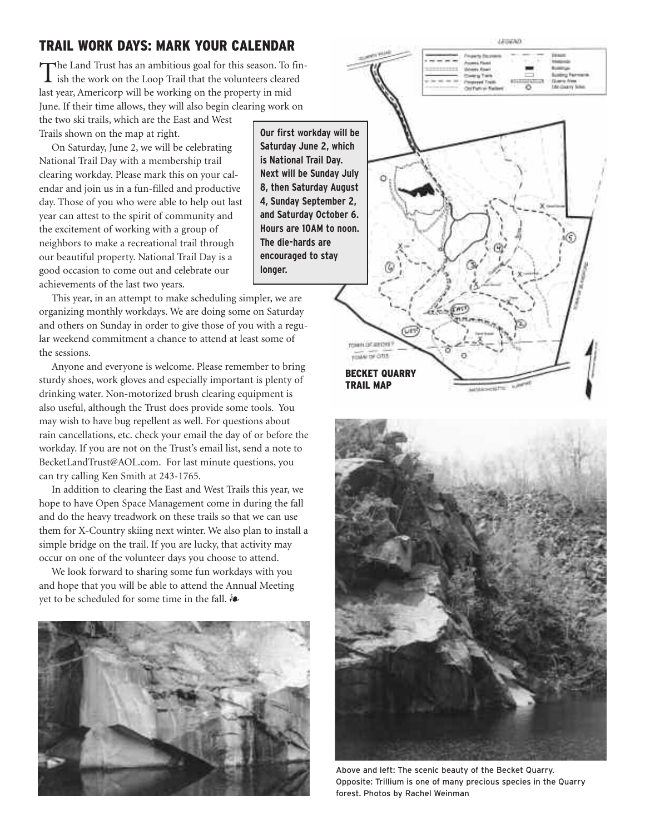## **TRAIL WORK DAYS: MARK YOUR CALENDAR**

The Land Trust has an ambitious goal for this season. To fin-ish the work on the Loop Trail that the volunteers cleared last year, Americorp will be working on the property in mid June. If their time allows, they will also begin clearing work on

the two ski trails, which are the East and West Trails shown on the map at right.

On Saturday, June 2, we will be celebrating National Trail Day with a membership trail clearing workday. Please mark this on your calendar and join us in a fun-filled and productive day. Those of you who were able to help out last year can attest to the spirit of community and the excitement of working with a group of neighbors to make a recreational trail through our beautiful property. National Trail Day is a good occasion to come out and celebrate our achievements of the last two years.

This year, in an attempt to make scheduling simpler, we are organizing monthly workdays. We are doing some on Saturday and others on Sunday in order to give those of you with a regular weekend commitment a chance to attend at least some of the sessions.

Anyone and everyone is welcome. Please remember to bring sturdy shoes, work gloves and especially important is plenty of drinking water. Non-motorized brush clearing equipment is also useful, although the Trust does provide some tools. You may wish to have bug repellent as well. For questions about rain cancellations, etc. check your email the day of or before the workday. If you are not on the Trust's email list, send a note to BecketLandTrust@AOL.com. For last minute questions, you can try calling Ken Smith at 243-1765.

In addition to clearing the East and West Trails this year, we hope to have Open Space Management come in during the fall and do the heavy treadwork on these trails so that we can use them for X-Country skiing next winter. We also plan to install a simple bridge on the trail. If you are lucky, that activity may occur on one of the volunteer days you choose to attend.

We look forward to sharing some fun workdays with you and hope that you will be able to attend the Annual Meeting yet to be scheduled for some time in the fall.  $\mathbf{\hat{s}}$ 



**Our first workday will be Saturday June 2, which is National Trail Day. Next will be Sunday July 8, then Saturday August 4, Sunday September 2, and Saturday October 6. Hours are 10AM to noon. The die-hards are encouraged to stay longer.**







Above and left: The scenic beauty of the Becket Quarry. Opposite: Trillium is one of many precious species in the Quarry forest. Photos by Rachel Weinman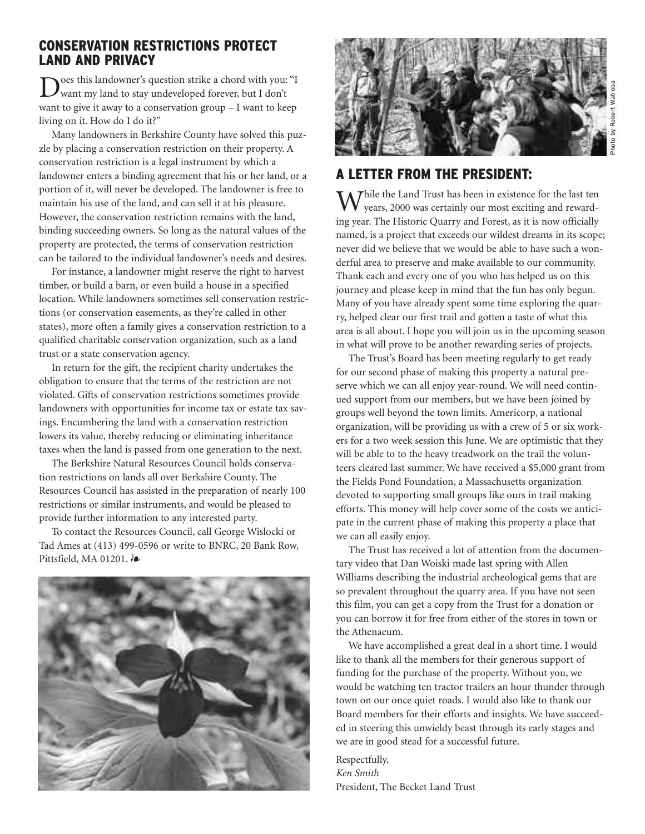## **CONSERVATION RESTRICTIONS PROTECT LAND AND PRIVACY**

Does this landowner's question strike a chord with you: "I want my land to stay undeveloped forever, but I don't want to give it away to a conservation group – I want to keep living on it. How do I do it?"

Many landowners in Berkshire County have solved this puzzle by placing a conservation restriction on their property. A conservation restriction is a legal instrument by which a landowner enters a binding agreement that his or her land, or a portion of it, will never be developed. The landowner is free to maintain his use of the land, and can sell it at his pleasure. However, the conservation restriction remains with the land, binding succeeding owners. So long as the natural values of the property are protected, the terms of conservation restriction can be tailored to the individual landowner's needs and desires.

For instance, a landowner might reserve the right to harvest timber, or build a barn, or even build a house in a specified location. While landowners sometimes sell conservation restrictions (or conservation easements, as they're called in other states), more often a family gives a conservation restriction to a qualified charitable conservation organization, such as a land trust or a state conservation agency.

In return for the gift, the recipient charity undertakes the obligation to ensure that the terms of the restriction are not violated. Gifts of conservation restrictions sometimes provide landowners with opportunities for income tax or estate tax savings. Encumbering the land with a conservation restriction lowers its value, thereby reducing or eliminating inheritance taxes when the land is passed from one generation to the next.

The Berkshire Natural Resources Council holds conservation restrictions on lands all over Berkshire County. The Resources Council has assisted in the preparation of nearly 100 restrictions or similar instruments, and would be pleased to provide further information to any interested party.

To contact the Resources Council, call George Wislocki or Tad Ames at (413) 499-0596 or write to BNRC, 20 Bank Row, Pittsfield, MA 01201.  $\delta$ 





## **A LETTER FROM THE PRESIDENT:**

M Thile the Land Trust has been in existence for the last ten years, 2000 was certainly our most exciting and rewarding year. The Historic Quarry and Forest, as it is now officially named, is a project that exceeds our wildest dreams in its scope; never did we believe that we would be able to have such a wonderful area to preserve and make available to our community. Thank each and every one of you who has helped us on this journey and please keep in mind that the fun has only begun. Many of you have already spent some time exploring the quarry, helped clear our first trail and gotten a taste of what this area is all about. I hope you will join us in the upcoming season in what will prove to be another rewarding series of projects.

The Trust's Board has been meeting regularly to get ready for our second phase of making this property a natural preserve which we can all enjoy year-round. We will need continued support from our members, but we have been joined by groups well beyond the town limits. Americorp, a national organization, will be providing us with a crew of 5 or six workers for a two week session this June. We are optimistic that they will be able to to the heavy treadwork on the trail the volunteers cleared last summer. We have received a \$5,000 grant from the Fields Pond Foundation, a Massachusetts organization devoted to supporting small groups like ours in trail making efforts. This money will help cover some of the costs we anticipate in the current phase of making this property a place that we can all easily enjoy.

The Trust has received a lot of attention from the documentary video that Dan Woiski made last spring with Allen Williams describing the industrial archeological gems that are so prevalent throughout the quarry area. If you have not seen this film, you can get a copy from the Trust for a donation or you can borrow it for free from either of the stores in town or the Athenaeum.

We have accomplished a great deal in a short time. I would like to thank all the members for their generous support of funding for the purchase of the property. Without you, we would be watching ten tractor trailers an hour thunder through town on our once quiet roads. I would also like to thank our Board members for their efforts and insights. We have succeeded in steering this unwieldy beast through its early stages and we are in good stead for a successful future.

Respectfully, *Ken Smith*  President, The Becket Land Trust